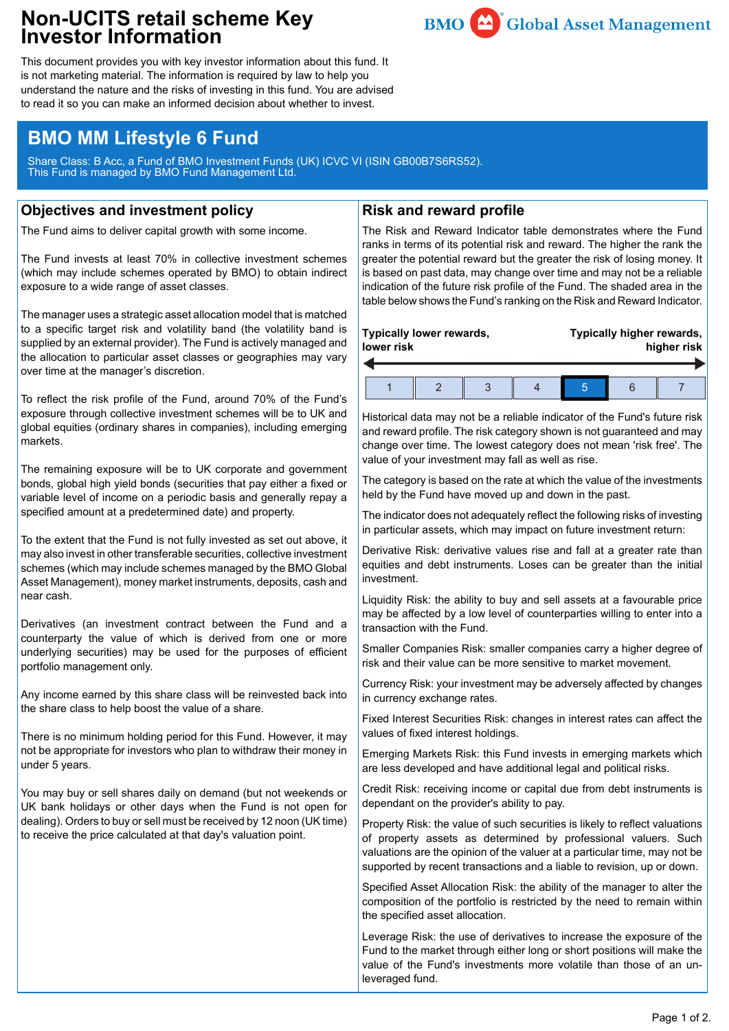## **Non-UCITS retail scheme Key Investor Information**



This document provides you with key investor information about this fund. It is not marketing material. The information is required by law to help you understand the nature and the risks of investing in this fund. You are advised to read it so you can make an informed decision about whether to invest.

# **BMO MM Lifestyle 6 Fund**

Share Class: B Acc, a Fund of BMO Investment Funds (UK) ICVC VI (ISIN GB00B7S6RS52). This Fund is managed by BMO Fund Management Ltd.

### **Objectives and investment policy**

The Fund aims to deliver capital growth with some income.

The Fund invests at least 70% in collective investment schemes (which may include schemes operated by BMO) to obtain indirect exposure to a wide range of asset classes.

The manager uses a strategic asset allocation model that is matched to a specific target risk and volatility band (the volatility band is supplied by an external provider). The Fund is actively managed and the allocation to particular asset classes or geographies may vary over time at the manager's discretion.

To reflect the risk profile of the Fund, around 70% of the Fund's exposure through collective investment schemes will be to UK and global equities (ordinary shares in companies), including emerging markets.

The remaining exposure will be to UK corporate and government bonds, global high yield bonds (securities that pay either a fixed or variable level of income on a periodic basis and generally repay a specified amount at a predetermined date) and property.

To the extent that the Fund is not fully invested as set out above, it may also invest in other transferable securities, collective investment schemes (which may include schemes managed by the BMO Global Asset Management), money market instruments, deposits, cash and near cash.

Derivatives (an investment contract between the Fund and a counterparty the value of which is derived from one or more underlying securities) may be used for the purposes of efficient portfolio management only.

Any income earned by this share class will be reinvested back into the share class to help boost the value of a share.

There is no minimum holding period for this Fund. However, it may not be appropriate for investors who plan to withdraw their money in under 5 years.

You may buy or sell shares daily on demand (but not weekends or UK bank holidays or other days when the Fund is not open for dealing). Orders to buy or sell must be received by 12 noon (UK time) to receive the price calculated at that day's valuation point.

#### **Risk and reward profile**

The Risk and Reward Indicator table demonstrates where the Fund ranks in terms of its potential risk and reward. The higher the rank the greater the potential reward but the greater the risk of losing money. It is based on past data, may change over time and may not be a reliable indication of the future risk profile of the Fund. The shaded area in the table below shows the Fund's ranking on the Risk and Reward Indicator.

| Typically lower rewards, |  |  |  |  | Typically higher rewards, |  |  |
|--------------------------|--|--|--|--|---------------------------|--|--|
| lower risk               |  |  |  |  | higher risk               |  |  |
|                          |  |  |  |  |                           |  |  |

Historical data may not be a reliable indicator of the Fund's future risk and reward profile. The risk category shown is not guaranteed and may change over time. The lowest category does not mean 'risk free'. The value of your investment may fall as well as rise.

The category is based on the rate at which the value of the investments held by the Fund have moved up and down in the past.

The indicator does not adequately reflect the following risks of investing in particular assets, which may impact on future investment return:

Derivative Risk: derivative values rise and fall at a greater rate than equities and debt instruments. Loses can be greater than the initial investment.

Liquidity Risk: the ability to buy and sell assets at a favourable price may be affected by a low level of counterparties willing to enter into a transaction with the Fund.

Smaller Companies Risk: smaller companies carry a higher degree of risk and their value can be more sensitive to market movement.

Currency Risk: your investment may be adversely affected by changes in currency exchange rates.

Fixed Interest Securities Risk: changes in interest rates can affect the values of fixed interest holdings.

Emerging Markets Risk: this Fund invests in emerging markets which are less developed and have additional legal and political risks.

Credit Risk: receiving income or capital due from debt instruments is dependant on the provider's ability to pay.

Property Risk: the value of such securities is likely to reflect valuations of property assets as determined by professional valuers. Such valuations are the opinion of the valuer at a particular time, may not be supported by recent transactions and a liable to revision, up or down.

Specified Asset Allocation Risk: the ability of the manager to alter the composition of the portfolio is restricted by the need to remain within the specified asset allocation.

Leverage Risk: the use of derivatives to increase the exposure of the Fund to the market through either long or short positions will make the value of the Fund's investments more volatile than those of an unleveraged fund.